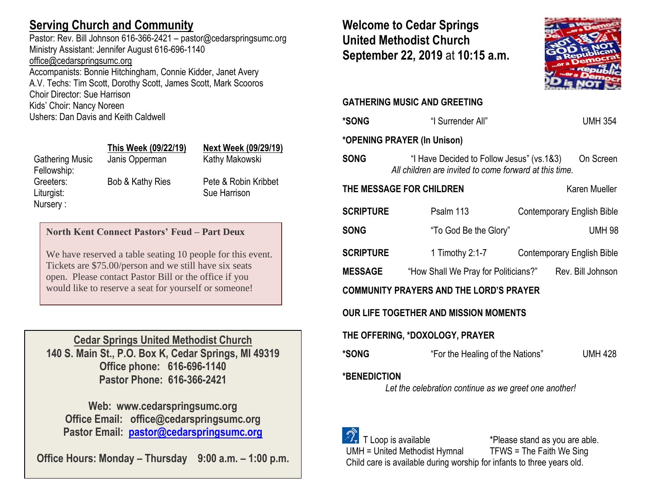## **Serving Church and Community**

Pastor: Rev. Bill Johnson 616-366-2421 – pastor@cedarspringsumc.org Ministry Assistant: Jennifer August 616-696-1140 [office@cedarspringsumc.org](mailto:office@cedarspringsumc.org)

Accompanists: Bonnie Hitchingham, Connie Kidder, Janet Avery A.V. Techs: Tim Scott, Dorothy Scott, James Scott, Mark Scooros Choir Director: Sue Harrison Kids' Choir: Nancy Noreen Ushers: Dan Davis and Keith Caldwell

# Gathering Music Janis Opperman Kathy Makowski Fellowship: Nursery :

# **This Week (09/22/19) Next Week (09/29/19)**

Liturgist: Sue Harrison

Greeters: Bob & Kathy Ries Pete & Robin Kribbet

## **North Kent Connect Pastors' Feud – Part Deux**

We have reserved a table seating 10 people for this event. Tickets are \$75.00/person and we still have six seats open. Please contact Pastor Bill or the office if you would like to reserve a seat for yourself or someone!

**Cedar Springs United Methodist Church 140 S. Main St., P.O. Box K, Cedar Springs, MI 49319 Office phone: 616-696-1140 Pastor Phone: 616-366-2421**

**Web: www.cedarspringsumc.org Office Email: office@cedarspringsumc.org Pastor Email: [pastor@cedarspringsumc.org](mailto:pastor@cedarspringsumc.org)**

**Office Hours: Monday – Thursday 9:00 a.m. – 1:00 p.m.**

**Welcome to Cedar Springs United Methodist Church September 22, 2019** at **10:15 a.m.** 



## **GATHERING MUSIC AND GREETING**

| *SONG                                                                        | "I Surrender All"                                                                                   | <b>UMH 354</b>                                         |  |  |
|------------------------------------------------------------------------------|-----------------------------------------------------------------------------------------------------|--------------------------------------------------------|--|--|
| *OPENING PRAYER (In Unison)                                                  |                                                                                                     |                                                        |  |  |
| <b>SONG</b>                                                                  | "I Have Decided to Follow Jesus" (vs.1&3)<br>All children are invited to come forward at this time. | On Screen                                              |  |  |
|                                                                              | THE MESSAGE FOR CHILDREN                                                                            | Karen Mueller                                          |  |  |
| <b>SCRIPTURE</b>                                                             | Psalm 113                                                                                           | <b>Contemporary English Bible</b>                      |  |  |
| <b>SONG</b>                                                                  | "To God Be the Glory"                                                                               | <b>UMH 98</b>                                          |  |  |
| SCRIPTURE                                                                    | 1 Timothy 2:1-7                                                                                     | <b>Contemporary English Bible</b>                      |  |  |
| <b>MESSAGE</b>                                                               |                                                                                                     | "How Shall We Pray for Politicians?" Rev. Bill Johnson |  |  |
| <b>COMMUNITY PRAYERS AND THE LORD'S PRAYER</b>                               |                                                                                                     |                                                        |  |  |
| OUR LIFE TOGETHER AND MISSION MOMENTS                                        |                                                                                                     |                                                        |  |  |
| THE OFFERING, *DOXOLOGY, PRAYER                                              |                                                                                                     |                                                        |  |  |
| *SONG                                                                        | "For the Healing of the Nations"                                                                    | <b>UMH 428</b>                                         |  |  |
| <b>*BENEDICTION</b><br>Let the celebration continue as we greet one another! |                                                                                                     |                                                        |  |  |
| T Loop is available                                                          |                                                                                                     | *Please stand as you are able.                         |  |  |

UMH = United Methodist Hymnal TFWS = The Faith We Sing Child care is available during worship for infants to three years old.